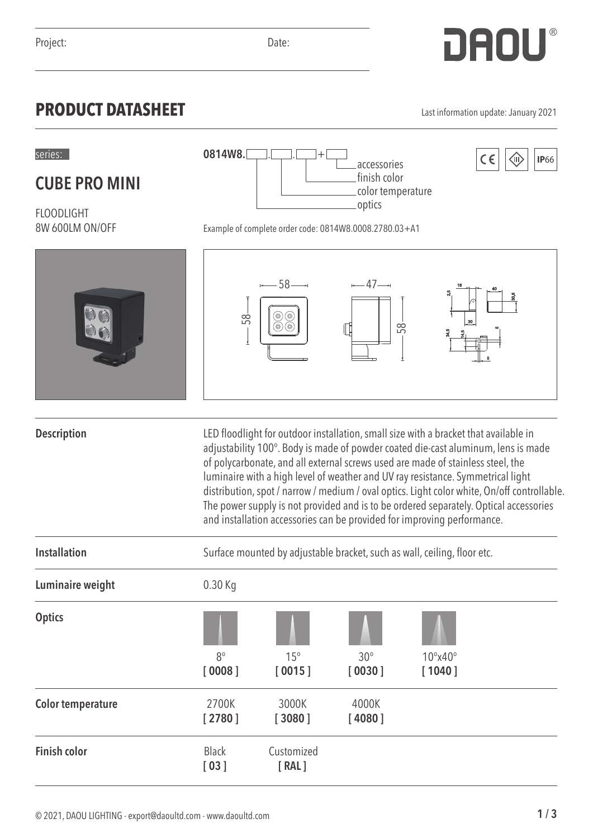## **PRODUCT DATASHEET** Last information update: January 2021

**CUBE PRO MINI**

FLOODLIGHT

8W 600LM ON/OFF

|                          | 58                   | $-- 58$ $-$<br>0)                                                                                                                                                                                                                                                                                                                                                                                                                                                                                                                                                                                                  | $-47$<br>58     | $^{2.5}$<br>30              |  |  |
|--------------------------|----------------------|--------------------------------------------------------------------------------------------------------------------------------------------------------------------------------------------------------------------------------------------------------------------------------------------------------------------------------------------------------------------------------------------------------------------------------------------------------------------------------------------------------------------------------------------------------------------------------------------------------------------|-----------------|-----------------------------|--|--|
| <b>Description</b>       |                      | LED floodlight for outdoor installation, small size with a bracket that available in<br>adjustability 100°. Body is made of powder coated die-cast aluminum, lens is made<br>of polycarbonate, and all external screws used are made of stainless steel, the<br>luminaire with a high level of weather and UV ray resistance. Symmetrical light<br>distribution, spot / narrow / medium / oval optics. Light color white, On/off controllable.<br>The power supply is not provided and is to be ordered separately. Optical accessories<br>and installation accessories can be provided for improving performance. |                 |                             |  |  |
| <b>Installation</b>      |                      | Surface mounted by adjustable bracket, such as wall, ceiling, floor etc.                                                                                                                                                                                                                                                                                                                                                                                                                                                                                                                                           |                 |                             |  |  |
| Luminaire weight         | 0.30 Kg              |                                                                                                                                                                                                                                                                                                                                                                                                                                                                                                                                                                                                                    |                 |                             |  |  |
| <b>Optics</b>            | $8^{\circ}$          | $15^\circ$                                                                                                                                                                                                                                                                                                                                                                                                                                                                                                                                                                                                         | $30^\circ$      | $10^{\circ}$ x40 $^{\circ}$ |  |  |
|                          | [0008]               | [0015]                                                                                                                                                                                                                                                                                                                                                                                                                                                                                                                                                                                                             | [0030]          | [1040]                      |  |  |
| <b>Color temperature</b> | 2700K<br>[2780]      | 3000K<br>[3080]                                                                                                                                                                                                                                                                                                                                                                                                                                                                                                                                                                                                    | 4000K<br>[4080] |                             |  |  |
| <b>Finish color</b>      | <b>Black</b><br>[03] | Customized<br>[RAL]                                                                                                                                                                                                                                                                                                                                                                                                                                                                                                                                                                                                |                 |                             |  |  |



Example of complete order code: 0814W8.0008.2780.03+A1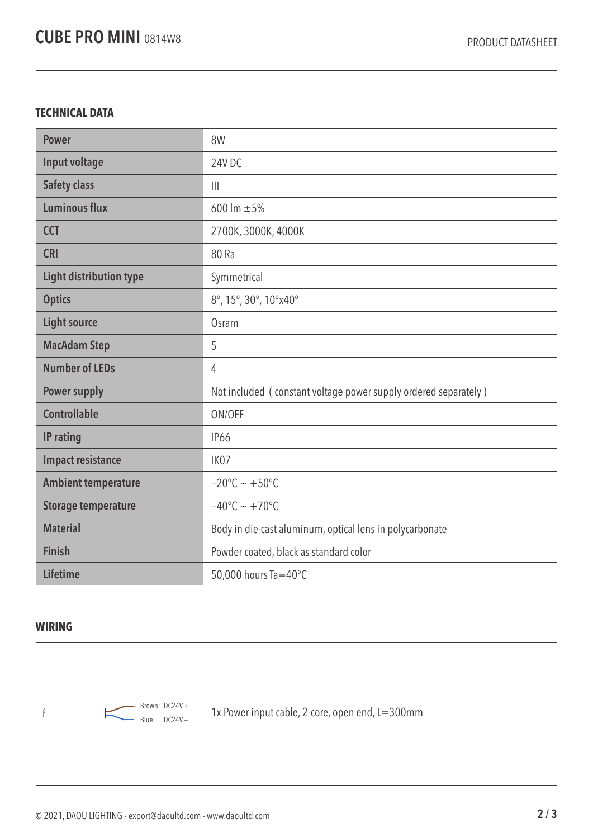## **TECHNICAL DATA**

| <b>Power</b>                   | 8W                                                              |  |  |
|--------------------------------|-----------------------------------------------------------------|--|--|
| Input voltage                  | 24V DC                                                          |  |  |
| <b>Safety class</b>            | $\mathbf{III}$                                                  |  |  |
| <b>Luminous flux</b>           | 600 lm $\pm 5%$                                                 |  |  |
| <b>CCT</b>                     | 2700K, 3000K, 4000K                                             |  |  |
| <b>CRI</b>                     | 80 Ra                                                           |  |  |
| <b>Light distribution type</b> | Symmetrical                                                     |  |  |
| <b>Optics</b>                  | 8°, 15°, 30°, 10°x40°                                           |  |  |
| <b>Light source</b>            | Osram                                                           |  |  |
| <b>MacAdam Step</b>            | 5                                                               |  |  |
| <b>Number of LEDs</b>          | 4                                                               |  |  |
| <b>Power supply</b>            | Not included (constant voltage power supply ordered separately) |  |  |
| <b>Controllable</b>            | ON/OFF                                                          |  |  |
| IP rating                      | <b>IP66</b>                                                     |  |  |
| <b>Impact resistance</b>       | IK07                                                            |  |  |
| <b>Ambient temperature</b>     | $-20^{\circ}$ C ~ +50°C                                         |  |  |
| <b>Storage temperature</b>     | $-40^{\circ}$ C ~ +70°C                                         |  |  |
| <b>Material</b>                | Body in die-cast aluminum, optical lens in polycarbonate        |  |  |
| <b>Finish</b>                  | Powder coated, black as standard color                          |  |  |
| <b>Lifetime</b>                | 50,000 hours Ta=40°C                                            |  |  |

## **WIRING**



 $\frac{1}{2}$  Brown: DC24V +  $\frac{1}{2}$  are nower input cable, 2-core, open end, L=300mm